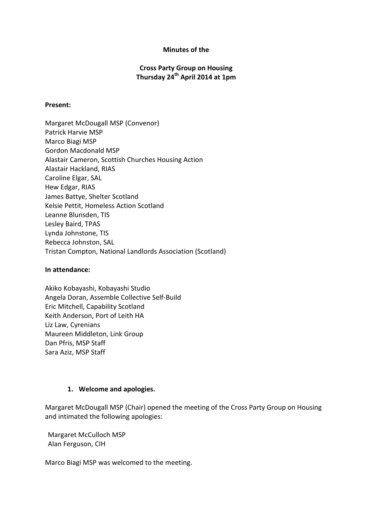## Minutes of the

# Cross Party Group on Housing Thursday 24<sup>th</sup> April 2014 at 1pm

### Present:

Margaret McDougall MSP (Convenor) Patrick Harvie MSP Marco Biagi MSP Gordon Macdonald MSP Alastair Cameron, Scottish Churches Housing Action Alastair Hackland, RIAS Caroline Elgar, SAL Hew Edgar, RIAS James Battye, Shelter Scotland Kelsie Pettit, Homeless Action Scotland Leanne Blunsden, TIS Lesley Baird, TPAS Lynda Johnstone, TIS Rebecca Johnston, SAL Tristan Compton, National Landlords Association (Scotland)

#### In attendance:

Akiko Kobayashi, Kobayashi Studio Angela Doran, Assemble Collective Self-Build Eric Mitchell, Capability Scotland Keith Anderson, Port of Leith HA Liz Law, Cyrenians Maureen Middleton, Link Group Dan Pfris, MSP Staff Sara Aziz, MSP Staff

## 1. Welcome and apologies.

Margaret McDougall MSP (Chair) opened the meeting of the Cross Party Group on Housing and intimated the following apologies:

Margaret McCulloch MSP Alan Ferguson, CIH

Marco Biagi MSP was welcomed to the meeting.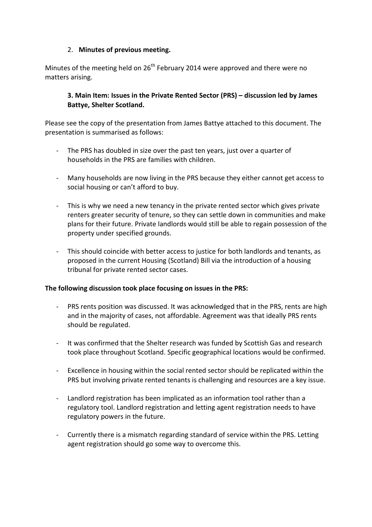# 2. Minutes of previous meeting.

Minutes of the meeting held on  $26<sup>th</sup>$  February 2014 were approved and there were no matters arising.

# 3. Main Item: Issues in the Private Rented Sector (PRS) – discussion led by James Battye, Shelter Scotland.

Please see the copy of the presentation from James Battye attached to this document. The presentation is summarised as follows:

- The PRS has doubled in size over the past ten years, just over a quarter of households in the PRS are families with children.
- Many households are now living in the PRS because they either cannot get access to social housing or can't afford to buy.
- This is why we need a new tenancy in the private rented sector which gives private renters greater security of tenure, so they can settle down in communities and make plans for their future. Private landlords would still be able to regain possession of the property under specified grounds.
- This should coincide with better access to justice for both landlords and tenants, as proposed in the current Housing (Scotland) Bill via the introduction of a housing tribunal for private rented sector cases.

## The following discussion took place focusing on issues in the PRS:

- PRS rents position was discussed. It was acknowledged that in the PRS, rents are high and in the majority of cases, not affordable. Agreement was that ideally PRS rents should be regulated.
- It was confirmed that the Shelter research was funded by Scottish Gas and research took place throughout Scotland. Specific geographical locations would be confirmed.
- Excellence in housing within the social rented sector should be replicated within the PRS but involving private rented tenants is challenging and resources are a key issue.
- Landlord registration has been implicated as an information tool rather than a regulatory tool. Landlord registration and letting agent registration needs to have regulatory powers in the future.
- Currently there is a mismatch regarding standard of service within the PRS. Letting agent registration should go some way to overcome this.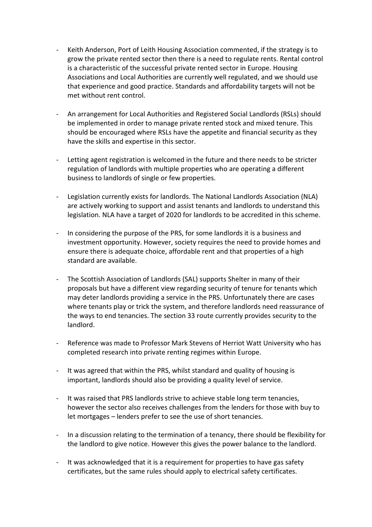- Keith Anderson, Port of Leith Housing Association commented, if the strategy is to grow the private rented sector then there is a need to regulate rents. Rental control is a characteristic of the successful private rented sector in Europe. Housing Associations and Local Authorities are currently well regulated, and we should use that experience and good practice. Standards and affordability targets will not be met without rent control.
- An arrangement for Local Authorities and Registered Social Landlords (RSLs) should be implemented in order to manage private rented stock and mixed tenure. This should be encouraged where RSLs have the appetite and financial security as they have the skills and expertise in this sector.
- Letting agent registration is welcomed in the future and there needs to be stricter regulation of landlords with multiple properties who are operating a different business to landlords of single or few properties.
- Legislation currently exists for landlords. The National Landlords Association (NLA) are actively working to support and assist tenants and landlords to understand this legislation. NLA have a target of 2020 for landlords to be accredited in this scheme.
- In considering the purpose of the PRS, for some landlords it is a business and investment opportunity. However, society requires the need to provide homes and ensure there is adequate choice, affordable rent and that properties of a high standard are available.
- The Scottish Association of Landlords (SAL) supports Shelter in many of their proposals but have a different view regarding security of tenure for tenants which may deter landlords providing a service in the PRS. Unfortunately there are cases where tenants play or trick the system, and therefore landlords need reassurance of the ways to end tenancies. The section 33 route currently provides security to the landlord.
- Reference was made to Professor Mark Stevens of Herriot Watt University who has completed research into private renting regimes within Europe.
- It was agreed that within the PRS, whilst standard and quality of housing is important, landlords should also be providing a quality level of service.
- It was raised that PRS landlords strive to achieve stable long term tenancies, however the sector also receives challenges from the lenders for those with buy to let mortgages – lenders prefer to see the use of short tenancies.
- In a discussion relating to the termination of a tenancy, there should be flexibility for the landlord to give notice. However this gives the power balance to the landlord.
- It was acknowledged that it is a requirement for properties to have gas safety certificates, but the same rules should apply to electrical safety certificates.